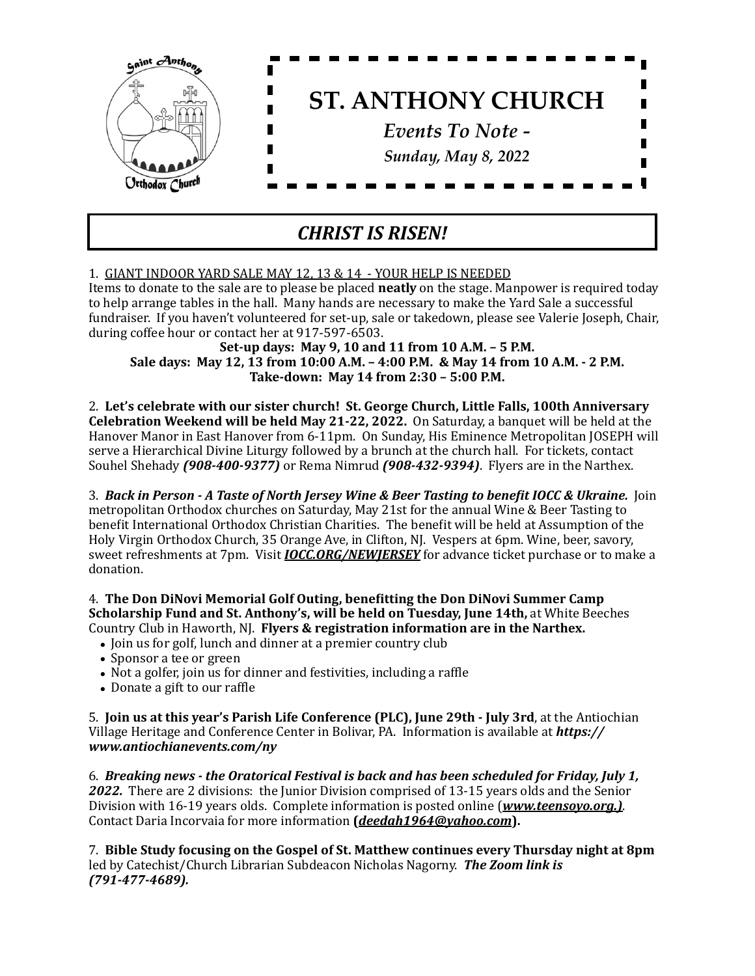

## *CHRIST IS RISEN!*

## 1. GIANT INDOOR YARD SALE MAY 12, 13 & 14 - YOUR HELP IS NEEDED

Items to donate to the sale are to please be placed **neatly** on the stage. Manpower is required today to help arrange tables in the hall. Many hands are necessary to make the Yard Sale a successful fundraiser. If you haven't volunteered for set-up, sale or takedown, please see Valerie Joseph, Chair, during coffee hour or contact her at 917-597-6503.

**Set-up days: May 9, 10 and 11 from 10 A.M. - 5 P.M. Sale days: May 12, 13 from 10:00 A.M. - 4:00 P.M. & May 14 from 10 A.M. - 2 P.M. Take-down: May 14 from 2:30 - 5:00 P.M.** 

2. Let's celebrate with our sister church! St. George Church, Little Falls, 100th Anniversary **Celebration Weekend will be held May 21-22, 2022.** On Saturday, a banquet will be held at the Hanover Manor in East Hanover from 6-11pm. On Sunday, His Eminence Metropolitan JOSEPH will serve a Hierarchical Divine Liturgy followed by a brunch at the church hall. For tickets, contact Souhel Shehady (908-400-9377) or Rema Nimrud (908-432-9394). Flyers are in the Narthex.

3. Back in Person - A Taste of North Jersey Wine & Beer Tasting to benefit IOCC & Ukraine. Join metropolitan Orthodox churches on Saturday, May 21st for the annual Wine & Beer Tasting to benefit International Orthodox Christian Charities. The benefit will be held at Assumption of the Holy Virgin Orthodox Church, 35 Orange Ave, in Clifton, NJ. Vespers at 6pm. Wine, beer, savory, sweet refreshments at 7pm. Visit *IOCC.ORG/NEWJERSEY* for advance ticket purchase or to make a donation. 

4. The Don DiNovi Memorial Golf Outing, benefitting the Don DiNovi Summer Camp **Scholarship Fund and St. Anthony's, will be held on Tuesday, June 14th, at White Beeches** Country Club in Haworth, NJ. Flyers & registration information are in the Narthex.

- Join us for golf, lunch and dinner at a premier country club
- Sponsor a tee or green
- Not a golfer, join us for dinner and festivities, including a raffle
- Donate a gift to our raffle

5. **Join us at this year's Parish Life Conference (PLC), June 29th - July 3rd,** at the Antiochian Village Heritage and Conference Center in Bolivar, PA. Information is available at *https:// www.antiochianevents.com/ny* 

6. *Breaking news - the Oratorical Festival is back and has been scheduled for Friday, July 1,* **2022.** There are 2 divisions: the Junior Division comprised of 13-15 years olds and the Senior Division with 16-19 years olds. Complete information is posted online (*www.teensoyo.org.*). Contact Daria Incorvaia for more information (*[deedah1964@yahoo.com](mailto:deedah1964@yahoo.com)*).

7. Bible Study focusing on the Gospel of St. Matthew continues every Thursday night at 8pm led by Catechist/Church Librarian Subdeacon Nicholas Nagorny. **The Zoom link is** *(791-477-4689).*